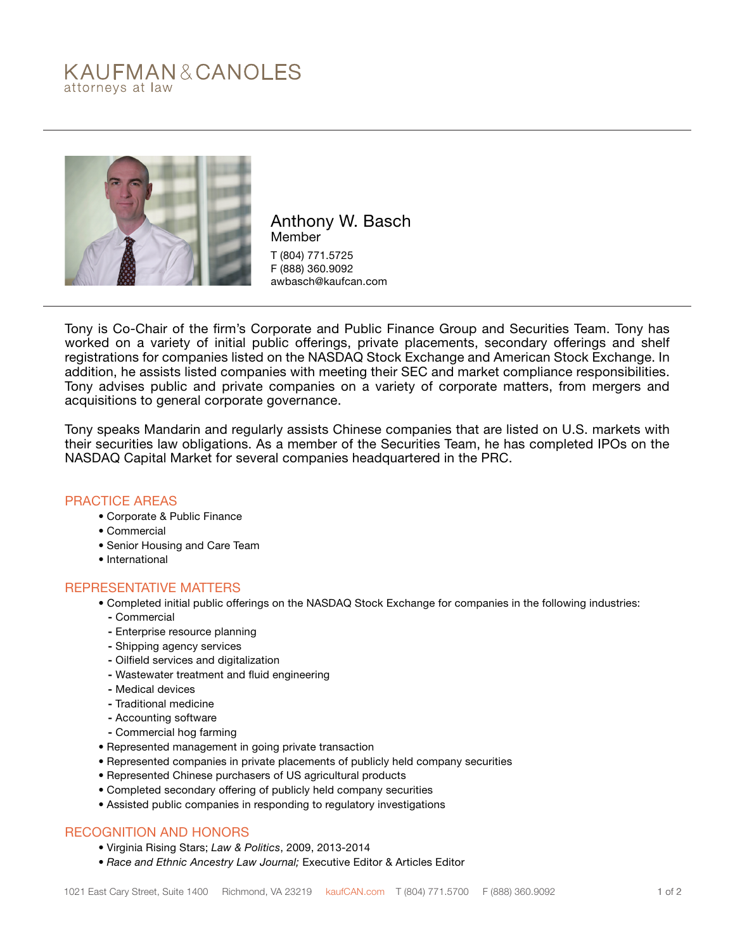# KAUFMAN&CANOLES attorneys at law



Anthony W. Basch Member T (804) 771.5725 F (888) 360.9092 awbasch@kaufcan.com

Tony is Co-Chair of the firm's Corporate and Public Finance Group and Securities Team. Tony has worked on a variety of initial public offerings, private placements, secondary offerings and shelf registrations for companies listed on the NASDAQ Stock Exchange and American Stock Exchange. In addition, he assists listed companies with meeting their SEC and market compliance responsibilities. Tony advises public and private companies on a variety of corporate matters, from mergers and acquisitions to general corporate governance.

Tony speaks Mandarin and regularly assists Chinese companies that are listed on U.S. markets with their securities law obligations. As a member of the Securities Team, he has completed IPOs on the NASDAQ Capital Market for several companies headquartered in the PRC.

#### PRACTICE AREAS

- Corporate & Public Finance
- Commercial
- Senior Housing and Care Team
- International

#### REPRESENTATIVE MATTERS

- Completed initial public offerings on the NASDAQ Stock Exchange for companies in the following industries:
	- Commercial
	- Enterprise resource planning
	- Shipping agency services
	- Oilfield services and digitalization
	- Wastewater treatment and fluid engineering
	- Medical devices
	- Traditional medicine
	- Accounting software
	- Commercial hog farming
- Represented management in going private transaction
- Represented companies in private placements of publicly held company securities
- Represented Chinese purchasers of US agricultural products
- Completed secondary offering of publicly held company securities
- Assisted public companies in responding to regulatory investigations

#### RECOGNITION AND HONORS

- Virginia Rising Stars; *Law & Politics*, 2009, 2013-2014
- *Race and Ethnic Ancestry Law Journal;* Executive Editor & Articles Editor